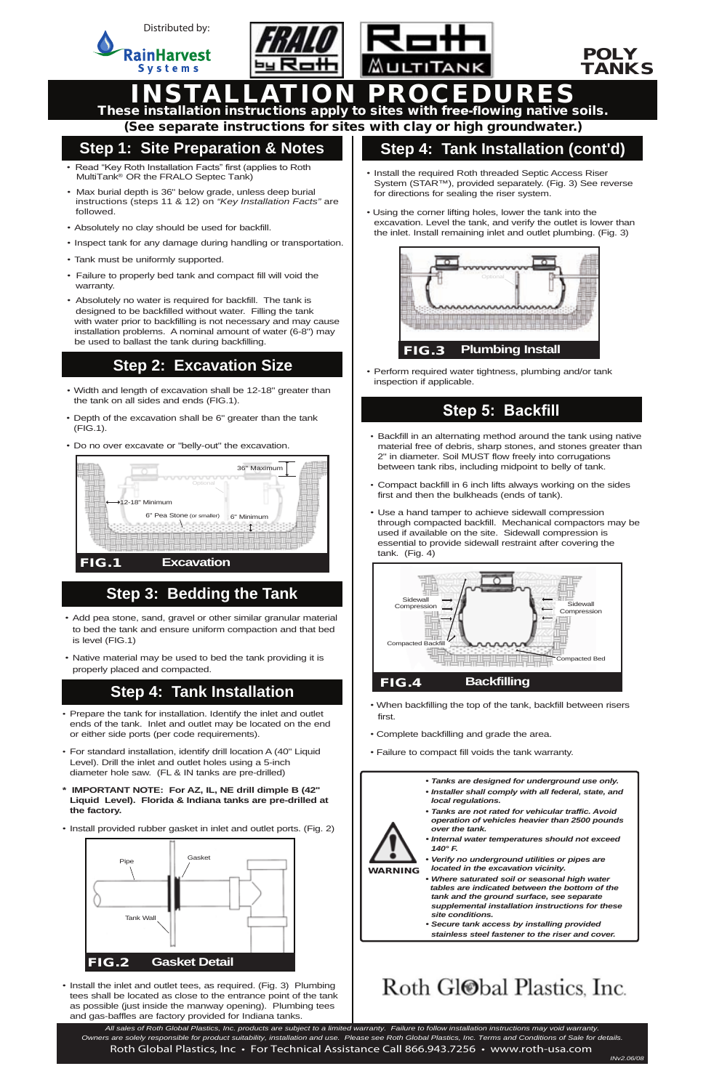

- *•* Width and length of excavation shall be 12-18" greater than the tank on all sides and ends (FIG.1).
- Depth of the excavation shall be 6" greater than the tank (FIG.1).
- Do no over excavate or "belly-out" the excavation.

WARNING

- Prepare the tank for installation. Identify the inlet and outlet ends of the tank. Inlet and outlet may be located on the end or either side ports (per code requirements).
- For standard installation, identify drill location A (40" Liquid Level). Drill the inlet and outlet holes using a 5-inch diameter hole saw. (FL & IN tanks are pre-drilled)
- **\* IMPORTANT NOTE: For AZ, IL, NE drill dimple B (42"** Liquid Level). Florida & Indiana tanks are pre-drilled
- *local regulations.*
- *• Tanks are not rated for vehicular traffic. Avoid operation of vehicles heavier than 2500 pounds over the tank.*
- *• Internal water temperatures should not exceed 140° F.*
- *• Verify no underground utilities or pipes are located in the excavation vicinity.*
- *• Where saturated soil or seasonal high water tables are indicated between the bottom of the tank and the ground surface, see separate supplemental installation instructions for these site conditions.*
- *• Secure tank access by installing provided stainless steel fastener to the riser and cover.*

## Roth Gl<sup>ob</sup>al Plastics, Inc.

#### POLY TANKS

INSTALLATION PROCEDURES These installation instructions apply to sites with free-flowing native soils.

(See separate instructions for sites with clay or high groundwater.)

### **Step 1: Site Preparation & Notes**

#### **Step 2: Excavation Size**

- Install the required Roth threaded Septic Access Riser System (STAR™), provided separately. (Fig. 3) See reverse for directions for sealing the riser system.
- Using the corner lifting holes, lower the tank into the excavation. Level the tank, and verify the outlet is lower than the inlet. Install remaining inlet and outlet plumbing. (Fig. 3)

### **Step 5: Backfill**



*•* Install the inlet and outlet tees, as required. (Fig. 3) Plumbing tees shall be located as close to the entrance point of the tank as possible (just inside the manway opening). Plumbing tees and gas-baffles are factory provided for Indiana tanks.

#### **Step 4: Tank Installation (cont'd)**

#### **Step 4: Tank Installation**

- When backfilling the top of the tank, backfill between risers first.
- Complete backfilling and grade the area.
- Failure to compact fill voids the tank warranty.
	- *• Tanks are designed for underground use only.*
	- *• Installer shall comply with all federal, state, and*
	-
- **the factory.**
- Install provided rubber gasket in inlet and outlet ports. (Fig. 2)

• Perform required water tightness, plumbing and/or tank inspection if applicable.

- Backfill in an alternating method around the tank using native material free of debris, sharp stones, and stones greater than 2" in diameter. Soil MUST flow freely into corrugations between tank ribs, including midpoint to belly of tank.
- Compact backfill in 6 inch lifts always working on the sides first and then the bulkheads (ends of tank).
- Use a hand tamper to achieve sidewall compression through compacted backfill. Mechanical compactors may be used if available on the site. Sidewall compression is essential to provide sidewall restraint after covering the tank. (Fig. 4)

- *•* Add pea stone, sand, gravel or other similar granular material to bed the tank and ensure uniform compaction and that bed is level (FIG.1)
- Native material may be used to bed the tank providing it is properly placed and compacted.

### **Step 3: Bedding the Tank**





 *Owners are solely responsible for product suitability, installation and use. Please see Roth Global Plastics, Inc. Terms and Conditions of Sale for details. All sales of Roth Global Plastics, Inc. products are subject to a limited warranty. Failure to follow installation instructions may void warranty.* Roth Global Plastics, Inc • For Technical Assistance Call 866.943.7256 • www.roth-usa.com

- Read "Key Roth Installation Facts" first (applies to Roth MultiTank<sup>®</sup> OR the FRALO Septec Tank)
- Max burial depth is 36" below grade, unless deep burial instructions (steps 11 & 12) on *"Key Installation Facts"* are followed.
- Absolutely no clay should be used for backfill.
- Inspect tank for any damage during handling or transportation.
- Tank must be uniformly supported.
- Failure to properly bed tank and compact fill will void the warranty.
- Absolutely no water is required for backfill. The tank is designed to be backfilled without water. Filling the tank with water prior to backfilling is not necessary and may cause installation problems. A nominal amount of water (6-8") may be used to ballast the tank during backfilling.